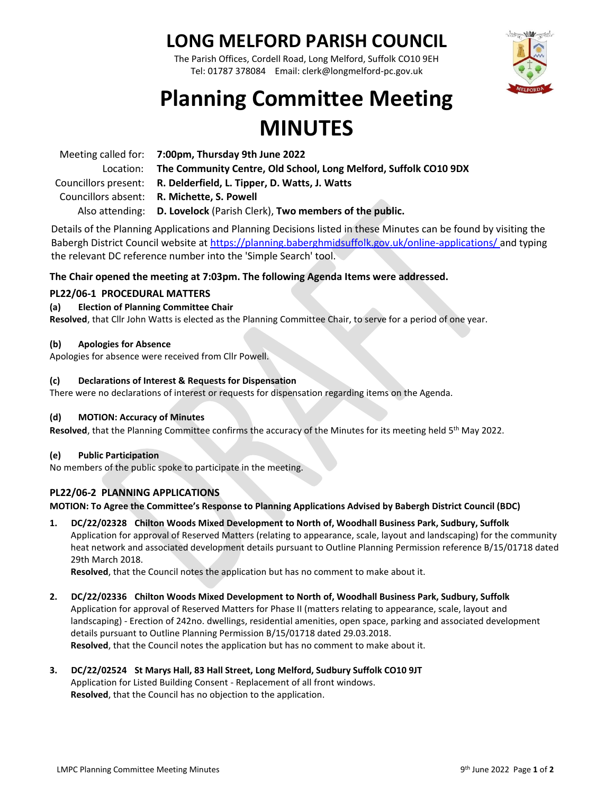### **LONG MELFORD PARISH COUNCIL**

The Parish Offices, Cordell Road, Long Melford, Suffolk CO10 9EH Tel: 01787 378084 Email: clerk@longmelford-pc.gov.uk



## **Planning Committee Meeting MINUTES**

| Meeting called for: 7:00pm, Thursday 9th June 2022                         |
|----------------------------------------------------------------------------|
| Location: The Community Centre, Old School, Long Melford, Suffolk CO10 9DX |
| Councillors present: R. Delderfield, L. Tipper, D. Watts, J. Watts         |
| Councillors absent: R. Michette, S. Powell                                 |
| Also attending: D. Lovelock (Parish Clerk), Two members of the public.     |

Details of the Planning Applications and Planning Decisions listed in these Minutes can be found by visiting the Babergh District Council website at<https://planning.baberghmidsuffolk.gov.uk/online-applications/> and typing the relevant DC reference number into the 'Simple Search' tool.

### **The Chair opened the meeting at 7:03pm. The following Agenda Items were addressed.**

### **PL22/06-1 PROCEDURAL MATTERS**

#### **(a) Election of Planning Committee Chair**

**Resolved**, that Cllr John Watts is elected as the Planning Committee Chair, to serve for a period of one year.

#### **(b) Apologies for Absence**

Apologies for absence were received from Cllr Powell.

#### **(c) Declarations of Interest & Requests for Dispensation**

There were no declarations of interest or requests for dispensation regarding items on the Agenda.

#### **(d) MOTION: Accuracy of Minutes**

Resolved, that the Planning Committee confirms the accuracy of the Minutes for its meeting held 5<sup>th</sup> May 2022.

#### **(e) Public Participation**

No members of the public spoke to participate in the meeting.

### **PL22/06-2 PLANNING APPLICATIONS**

#### **MOTION: To Agree the Committee's Response to Planning Applications Advised by Babergh District Council (BDC)**

**1. DC/22/02328 Chilton Woods Mixed Development to North of, Woodhall Business Park, Sudbury, Suffolk** Application for approval of Reserved Matters (relating to appearance, scale, layout and landscaping) for the community heat network and associated development details pursuant to Outline Planning Permission reference B/15/01718 dated 29th March 2018.

**Resolved**, that the Council notes the application but has no comment to make about it.

**2. DC/22/02336 Chilton Woods Mixed Development to North of, Woodhall Business Park, Sudbury, Suffolk** Application for approval of Reserved Matters for Phase II (matters relating to appearance, scale, layout and landscaping) - Erection of 242no. dwellings, residential amenities, open space, parking and associated development details pursuant to Outline Planning Permission B/15/01718 dated 29.03.2018. **Resolved**, that the Council notes the application but has no comment to make about it.

#### **3. DC/22/02524 St Marys Hall, 83 Hall Street, Long Melford, Sudbury Suffolk CO10 9JT** Application for Listed Building Consent - Replacement of all front windows. **Resolved**, that the Council has no objection to the application.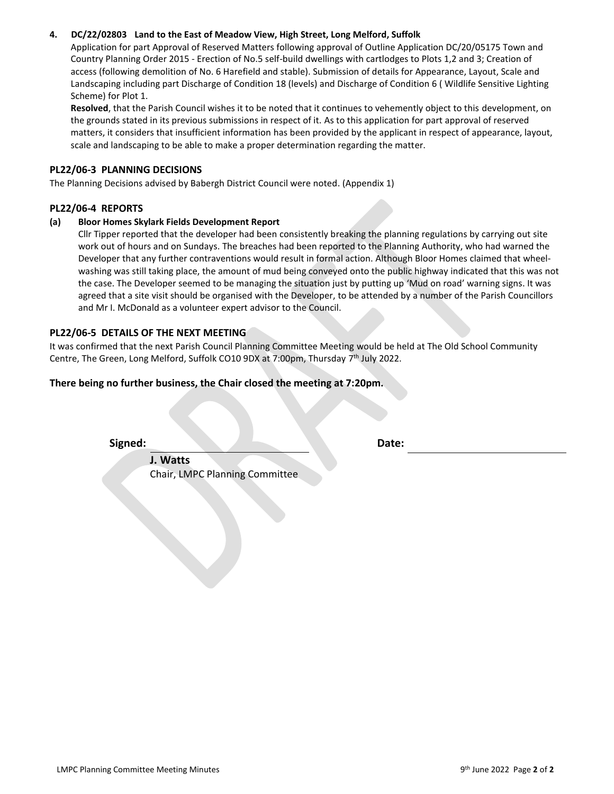#### **4. DC/22/02803 Land to the East of Meadow View, High Street, Long Melford, Suffolk**

Application for part Approval of Reserved Matters following approval of Outline Application DC/20/05175 Town and Country Planning Order 2015 - Erection of No.5 self-build dwellings with cartlodges to Plots 1,2 and 3; Creation of access (following demolition of No. 6 Harefield and stable). Submission of details for Appearance, Layout, Scale and Landscaping including part Discharge of Condition 18 (levels) and Discharge of Condition 6 ( Wildlife Sensitive Lighting Scheme) for Plot 1.

**Resolved**, that the Parish Council wishes it to be noted that it continues to vehemently object to this development, on the grounds stated in its previous submissions in respect of it. As to this application for part approval of reserved matters, it considers that insufficient information has been provided by the applicant in respect of appearance, layout, scale and landscaping to be able to make a proper determination regarding the matter.

#### **PL22/06-3 PLANNING DECISIONS**

The Planning Decisions advised by Babergh District Council were noted. (Appendix 1)

#### **PL22/06-4 REPORTS**

#### **(a) Bloor Homes Skylark Fields Development Report**

Cllr Tipper reported that the developer had been consistently breaking the planning regulations by carrying out site work out of hours and on Sundays. The breaches had been reported to the Planning Authority, who had warned the Developer that any further contraventions would result in formal action. Although Bloor Homes claimed that wheelwashing was still taking place, the amount of mud being conveyed onto the public highway indicated that this was not the case. The Developer seemed to be managing the situation just by putting up 'Mud on road' warning signs. It was agreed that a site visit should be organised with the Developer, to be attended by a number of the Parish Councillors and Mr I. McDonald as a volunteer expert advisor to the Council.

#### **PL22/06-5 DETAILS OF THE NEXT MEETING**

It was confirmed that the next Parish Council Planning Committee Meeting would be held at The Old School Community Centre, The Green, Long Melford, Suffolk CO10 9DX at 7:00pm, Thursday 7<sup>th</sup> July 2022.

#### **There being no further business, the Chair closed the meeting at 7:20pm.**

**Signed: Date:**

**J. Watts** Chair, LMPC Planning Committee